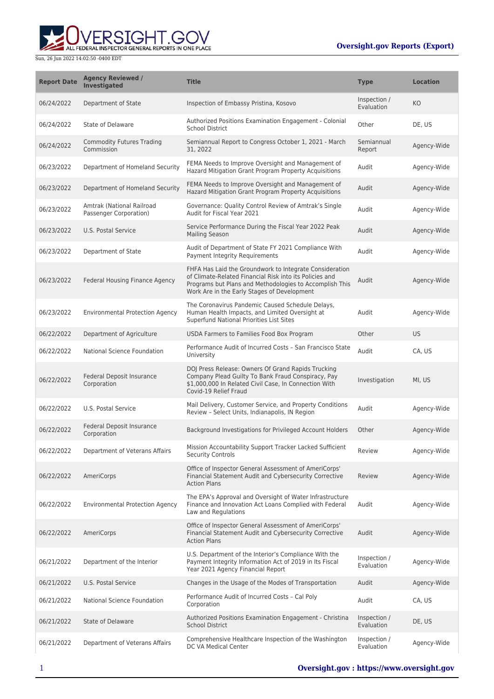ERSIGHT.GOV ALL FEDERAL INSPECTOR GENERAL REPORTS IN ONE PLACE

| <b>Report Date</b> | <b>Agency Reviewed /</b><br><b>Investigated</b>     | <b>Title</b>                                                                                                                                                                                                                 | <b>Type</b>                | <b>Location</b> |
|--------------------|-----------------------------------------------------|------------------------------------------------------------------------------------------------------------------------------------------------------------------------------------------------------------------------------|----------------------------|-----------------|
| 06/24/2022         | Department of State                                 | Inspection of Embassy Pristina, Kosovo                                                                                                                                                                                       | Inspection /<br>Evaluation | KO              |
| 06/24/2022         | State of Delaware                                   | Authorized Positions Examination Engagement - Colonial<br><b>School District</b>                                                                                                                                             | Other                      | DE, US          |
| 06/24/2022         | <b>Commodity Futures Trading</b><br>Commission      | Semiannual Report to Congress October 1, 2021 - March<br>31, 2022                                                                                                                                                            | Semiannual<br>Report       | Agency-Wide     |
| 06/23/2022         | Department of Homeland Security                     | FEMA Needs to Improve Oversight and Management of<br>Hazard Mitigation Grant Program Property Acquisitions                                                                                                                   | Audit                      | Agency-Wide     |
| 06/23/2022         | Department of Homeland Security                     | FEMA Needs to Improve Oversight and Management of<br>Hazard Mitigation Grant Program Property Acquisitions                                                                                                                   | Audit                      | Agency-Wide     |
| 06/23/2022         | Amtrak (National Railroad<br>Passenger Corporation) | Governance: Quality Control Review of Amtrak's Single<br>Audit for Fiscal Year 2021                                                                                                                                          | Audit                      | Agency-Wide     |
| 06/23/2022         | U.S. Postal Service                                 | Service Performance During the Fiscal Year 2022 Peak<br><b>Mailing Season</b>                                                                                                                                                | Audit                      | Agency-Wide     |
| 06/23/2022         | Department of State                                 | Audit of Department of State FY 2021 Compliance With<br>Payment Integrity Requirements                                                                                                                                       | Audit                      | Agency-Wide     |
| 06/23/2022         | <b>Federal Housing Finance Agency</b>               | FHFA Has Laid the Groundwork to Integrate Consideration<br>of Climate-Related Financial Risk into its Policies and<br>Programs but Plans and Methodologies to Accomplish This<br>Work Are in the Early Stages of Development | Audit                      | Agency-Wide     |
| 06/23/2022         | <b>Environmental Protection Agency</b>              | The Coronavirus Pandemic Caused Schedule Delays,<br>Human Health Impacts, and Limited Oversight at<br>Superfund National Priorities List Sites                                                                               | Audit                      | Agency-Wide     |
| 06/22/2022         | Department of Agriculture                           | USDA Farmers to Families Food Box Program                                                                                                                                                                                    | Other                      | US              |
| 06/22/2022         | National Science Foundation                         | Performance Audit of Incurred Costs - San Francisco State<br>University                                                                                                                                                      | Audit                      | CA, US          |
| 06/22/2022         | Federal Deposit Insurance<br>Corporation            | DOJ Press Release: Owners Of Grand Rapids Trucking<br>Company Plead Guilty To Bank Fraud Conspiracy, Pay<br>\$1,000,000 In Related Civil Case, In Connection With<br>Covid-19 Relief Fraud                                   | Investigation              | MI, US          |
| 06/22/2022         | U.S. Postal Service                                 | Mail Delivery, Customer Service, and Property Conditions<br>Review - Select Units, Indianapolis, IN Region                                                                                                                   | Audit                      | Agency-Wide     |
| 06/22/2022         | Federal Deposit Insurance<br>Corporation            | Background Investigations for Privileged Account Holders                                                                                                                                                                     | Other                      | Agency-Wide     |
| 06/22/2022         | Department of Veterans Affairs                      | Mission Accountability Support Tracker Lacked Sufficient<br><b>Security Controls</b>                                                                                                                                         | Review                     | Agency-Wide     |
| 06/22/2022         | AmeriCorps                                          | Office of Inspector General Assessment of AmeriCorps'<br>Financial Statement Audit and Cybersecurity Corrective<br><b>Action Plans</b>                                                                                       | Review                     | Agency-Wide     |
| 06/22/2022         | <b>Environmental Protection Agency</b>              | The EPA's Approval and Oversight of Water Infrastructure<br>Finance and Innovation Act Loans Complied with Federal<br>Law and Regulations                                                                                    | Audit                      | Agency-Wide     |
| 06/22/2022         | AmeriCorps                                          | Office of Inspector General Assessment of AmeriCorps'<br>Financial Statement Audit and Cybersecurity Corrective<br><b>Action Plans</b>                                                                                       | Audit                      | Agency-Wide     |
| 06/21/2022         | Department of the Interior                          | U.S. Department of the Interior's Compliance With the<br>Payment Integrity Information Act of 2019 in Its Fiscal<br>Year 2021 Agency Financial Report                                                                        | Inspection /<br>Evaluation | Agency-Wide     |
| 06/21/2022         | U.S. Postal Service                                 | Changes in the Usage of the Modes of Transportation                                                                                                                                                                          | Audit                      | Agency-Wide     |
| 06/21/2022         | National Science Foundation                         | Performance Audit of Incurred Costs - Cal Poly<br>Corporation                                                                                                                                                                | Audit                      | CA, US          |
| 06/21/2022         | State of Delaware                                   | Authorized Positions Examination Engagement - Christina<br><b>School District</b>                                                                                                                                            | Inspection /<br>Evaluation | DE, US          |
| 06/21/2022         | Department of Veterans Affairs                      | Comprehensive Healthcare Inspection of the Washington<br>DC VA Medical Center                                                                                                                                                | Inspection /<br>Evaluation | Agency-Wide     |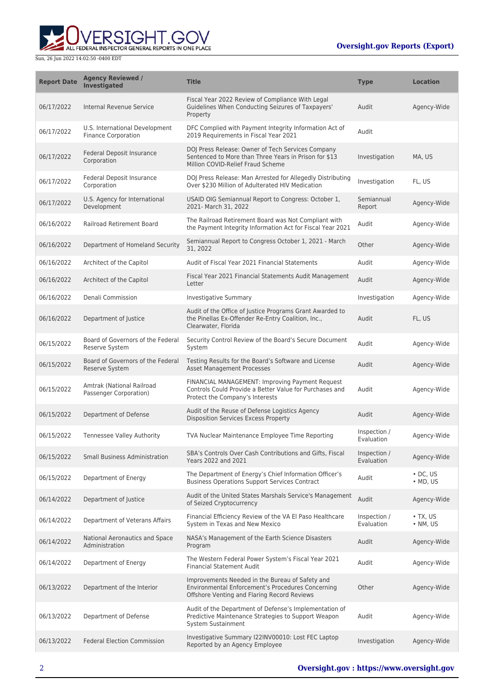

| <b>Report Date</b> | <b>Agency Reviewed /</b><br><b>Investigated</b>              | <b>Title</b>                                                                                                                                        | <b>Type</b>                | <b>Location</b>                    |
|--------------------|--------------------------------------------------------------|-----------------------------------------------------------------------------------------------------------------------------------------------------|----------------------------|------------------------------------|
| 06/17/2022         | Internal Revenue Service                                     | Fiscal Year 2022 Review of Compliance With Legal<br>Guidelines When Conducting Seizures of Taxpayers'<br>Property                                   | Audit                      | Agency-Wide                        |
| 06/17/2022         | U.S. International Development<br><b>Finance Corporation</b> | DFC Complied with Payment Integrity Information Act of<br>2019 Requirements in Fiscal Year 2021                                                     | Audit                      |                                    |
| 06/17/2022         | Federal Deposit Insurance<br>Corporation                     | DOJ Press Release: Owner of Tech Services Company<br>Sentenced to More than Three Years in Prison for \$13<br>Million COVID-Relief Fraud Scheme     | Investigation              | MA, US                             |
| 06/17/2022         | Federal Deposit Insurance<br>Corporation                     | DOJ Press Release: Man Arrested for Allegedly Distributing<br>Over \$230 Million of Adulterated HIV Medication                                      | Investigation              | FL, US                             |
| 06/17/2022         | U.S. Agency for International<br>Development                 | USAID OIG Semiannual Report to Congress: October 1,<br>2021- March 31, 2022                                                                         | Semiannual<br>Report       | Agency-Wide                        |
| 06/16/2022         | <b>Railroad Retirement Board</b>                             | The Railroad Retirement Board was Not Compliant with<br>the Payment Integrity Information Act for Fiscal Year 2021                                  | Audit                      | Agency-Wide                        |
| 06/16/2022         | Department of Homeland Security                              | Semiannual Report to Congress October 1, 2021 - March<br>31, 2022                                                                                   | Other                      | Agency-Wide                        |
| 06/16/2022         | Architect of the Capitol                                     | Audit of Fiscal Year 2021 Financial Statements                                                                                                      | Audit                      | Agency-Wide                        |
| 06/16/2022         | Architect of the Capitol                                     | Fiscal Year 2021 Financial Statements Audit Management<br>Letter                                                                                    | Audit                      | Agency-Wide                        |
| 06/16/2022         | Denali Commission                                            | <b>Investigative Summary</b>                                                                                                                        | Investigation              | Agency-Wide                        |
| 06/16/2022         | Department of Justice                                        | Audit of the Office of Justice Programs Grant Awarded to<br>the Pinellas Ex-Offender Re-Entry Coalition, Inc.,<br>Clearwater, Florida               | Audit                      | FL, US                             |
| 06/15/2022         | Board of Governors of the Federal<br>Reserve System          | Security Control Review of the Board's Secure Document<br>System                                                                                    | Audit                      | Agency-Wide                        |
| 06/15/2022         | Board of Governors of the Federal<br>Reserve System          | Testing Results for the Board's Software and License<br><b>Asset Management Processes</b>                                                           | Audit                      | Agency-Wide                        |
| 06/15/2022         | Amtrak (National Railroad<br>Passenger Corporation)          | FINANCIAL MANAGEMENT: Improving Payment Request<br>Controls Could Provide a Better Value for Purchases and<br>Protect the Company's Interests       | Audit                      | Agency-Wide                        |
| 06/15/2022         | Department of Defense                                        | Audit of the Reuse of Defense Logistics Agency<br><b>Disposition Services Excess Property</b>                                                       | Audit                      | Agency-Wide                        |
| 06/15/2022         | Tennessee Valley Authority                                   | <b>TVA Nuclear Maintenance Employee Time Reporting</b>                                                                                              | Inspection /<br>Evaluation | Agency-Wide                        |
| 06/15/2022         | <b>Small Business Administration</b>                         | SBA's Controls Over Cash Contributions and Gifts, Fiscal<br>Years 2022 and 2021                                                                     | Inspection /<br>Evaluation | Agency-Wide                        |
| 06/15/2022         | Department of Energy                                         | The Department of Energy's Chief Information Officer's<br><b>Business Operations Support Services Contract</b>                                      | Audit                      | $\cdot$ DC, US<br>$\bullet$ MD, US |
| 06/14/2022         | Department of Justice                                        | Audit of the United States Marshals Service's Management<br>of Seized Cryptocurrency                                                                | Audit                      | Agency-Wide                        |
| 06/14/2022         | Department of Veterans Affairs                               | Financial Efficiency Review of the VA El Paso Healthcare<br>System in Texas and New Mexico                                                          | Inspection /<br>Evaluation | $\bullet$ TX, US<br>• NM, US       |
| 06/14/2022         | National Aeronautics and Space<br>Administration             | NASA's Management of the Earth Science Disasters<br>Program                                                                                         | Audit                      | Agency-Wide                        |
| 06/14/2022         | Department of Energy                                         | The Western Federal Power System's Fiscal Year 2021<br><b>Financial Statement Audit</b>                                                             | Audit                      | Agency-Wide                        |
| 06/13/2022         | Department of the Interior                                   | Improvements Needed in the Bureau of Safety and<br>Environmental Enforcement's Procedures Concerning<br>Offshore Venting and Flaring Record Reviews | Other                      | Agency-Wide                        |
| 06/13/2022         | Department of Defense                                        | Audit of the Department of Defense's Implementation of<br>Predictive Maintenance Strategies to Support Weapon<br>System Sustainment                 | Audit                      | Agency-Wide                        |
| 06/13/2022         | <b>Federal Election Commission</b>                           | Investigative Summary I22INV00010: Lost FEC Laptop<br>Reported by an Agency Employee                                                                | Investigation              | Agency-Wide                        |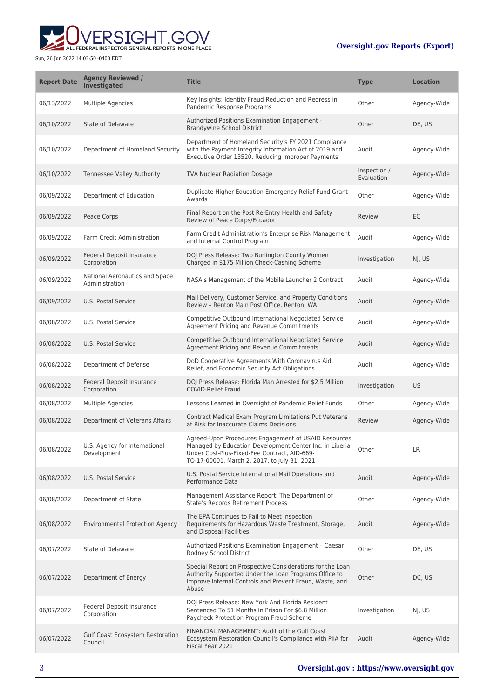

| <b>Report Date</b> | <b>Agency Reviewed /</b><br><b>Investigated</b>  | <b>Title</b>                                                                                                                                                                                                    | <b>Type</b>                | <b>Location</b> |
|--------------------|--------------------------------------------------|-----------------------------------------------------------------------------------------------------------------------------------------------------------------------------------------------------------------|----------------------------|-----------------|
| 06/13/2022         | Multiple Agencies                                | Key Insights: Identity Fraud Reduction and Redress in<br>Pandemic Response Programs                                                                                                                             | Other                      | Agency-Wide     |
| 06/10/2022         | <b>State of Delaware</b>                         | <b>Authorized Positions Examination Engagement -</b><br><b>Brandywine School District</b>                                                                                                                       | Other                      | DE, US          |
| 06/10/2022         | Department of Homeland Security                  | Department of Homeland Security's FY 2021 Compliance<br>with the Payment Integrity Information Act of 2019 and<br>Executive Order 13520, Reducing Improper Payments                                             | Audit                      | Agency-Wide     |
| 06/10/2022         | Tennessee Valley Authority                       | <b>TVA Nuclear Radiation Dosage</b>                                                                                                                                                                             | Inspection /<br>Evaluation | Agency-Wide     |
| 06/09/2022         | Department of Education                          | Duplicate Higher Education Emergency Relief Fund Grant<br>Awards                                                                                                                                                | Other                      | Agency-Wide     |
| 06/09/2022         | Peace Corps                                      | Final Report on the Post Re-Entry Health and Safety<br>Review of Peace Corps/Ecuador                                                                                                                            | Review                     | EC              |
| 06/09/2022         | Farm Credit Administration                       | Farm Credit Administration's Enterprise Risk Management<br>and Internal Control Program                                                                                                                         | Audit                      | Agency-Wide     |
| 06/09/2022         | Federal Deposit Insurance<br>Corporation         | DOJ Press Release: Two Burlington County Women<br>Charged in \$175 Million Check-Cashing Scheme                                                                                                                 | Investigation              | NJ, US          |
| 06/09/2022         | National Aeronautics and Space<br>Administration | NASA's Management of the Mobile Launcher 2 Contract                                                                                                                                                             | Audit                      | Agency-Wide     |
| 06/09/2022         | U.S. Postal Service                              | Mail Delivery, Customer Service, and Property Conditions<br>Review - Renton Main Post Office, Renton, WA                                                                                                        | Audit                      | Agency-Wide     |
| 06/08/2022         | U.S. Postal Service                              | Competitive Outbound International Negotiated Service<br>Agreement Pricing and Revenue Commitments                                                                                                              | Audit                      | Agency-Wide     |
| 06/08/2022         | U.S. Postal Service                              | Competitive Outbound International Negotiated Service<br>Agreement Pricing and Revenue Commitments                                                                                                              | Audit                      | Agency-Wide     |
| 06/08/2022         | Department of Defense                            | DoD Cooperative Agreements With Coronavirus Aid,<br>Relief, and Economic Security Act Obligations                                                                                                               | Audit                      | Agency-Wide     |
| 06/08/2022         | Federal Deposit Insurance<br>Corporation         | DOJ Press Release: Florida Man Arrested for \$2.5 Million<br><b>COVID-Relief Fraud</b>                                                                                                                          | Investigation              | <b>US</b>       |
| 06/08/2022         | Multiple Agencies                                | Lessons Learned in Oversight of Pandemic Relief Funds                                                                                                                                                           | Other                      | Agency-Wide     |
| 06/08/2022         | Department of Veterans Affairs                   | Contract Medical Exam Program Limitations Put Veterans<br>at Risk for Inaccurate Claims Decisions                                                                                                               | Review                     | Agency-Wide     |
| 06/08/2022         | U.S. Agency for International<br>Development     | Agreed-Upon Procedures Engagement of USAID Resources<br>Managed by Education Development Center Inc. in Liberia<br>Under Cost-Plus-Fixed-Fee Contract, AID-669-<br>TO-17-00001, March 2, 2017, to July 31, 2021 | Other                      | LR              |
| 06/08/2022         | U.S. Postal Service                              | U.S. Postal Service International Mail Operations and<br>Performance Data                                                                                                                                       | Audit                      | Agency-Wide     |
| 06/08/2022         | Department of State                              | Management Assistance Report: The Department of<br>State's Records Retirement Process                                                                                                                           | Other                      | Agency-Wide     |
| 06/08/2022         | <b>Environmental Protection Agency</b>           | The EPA Continues to Fail to Meet Inspection<br>Requirements for Hazardous Waste Treatment, Storage,<br>and Disposal Facilities                                                                                 | Audit                      | Agency-Wide     |
| 06/07/2022         | State of Delaware                                | Authorized Positions Examination Engagement - Caesar<br>Rodney School District                                                                                                                                  | Other                      | DE, US          |
| 06/07/2022         | Department of Energy                             | Special Report on Prospective Considerations for the Loan<br>Authority Supported Under the Loan Programs Office to<br>Improve Internal Controls and Prevent Fraud, Waste, and<br>Abuse                          | Other                      | DC, US          |
| 06/07/2022         | Federal Deposit Insurance<br>Corporation         | DOJ Press Release: New York And Florida Resident<br>Sentenced To 51 Months In Prison For \$6.8 Million<br>Paycheck Protection Program Fraud Scheme                                                              | Investigation              | NJ, US          |
| 06/07/2022         | Gulf Coast Ecosystem Restoration<br>Council      | FINANCIAL MANAGEMENT: Audit of the Gulf Coast<br>Ecosystem Restoration Council's Compliance with PIIA for<br>Fiscal Year 2021                                                                                   | Audit                      | Agency-Wide     |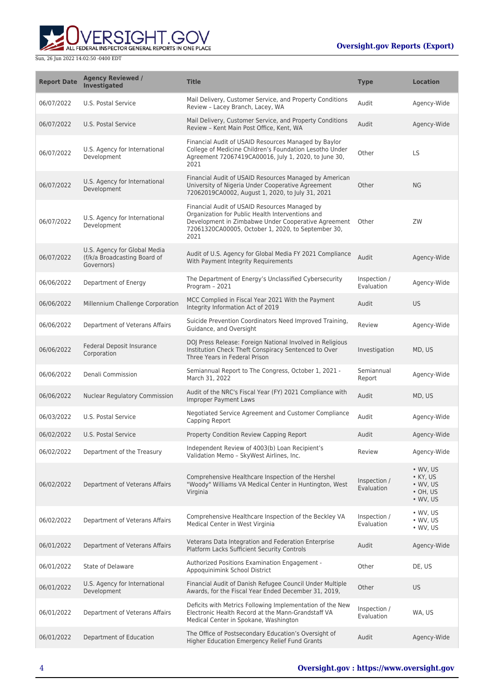

| <b>Report Date</b> | <b>Agency Reviewed /</b><br><b>Investigated</b>                            | <b>Title</b>                                                                                                                                                                                                           | <b>Type</b>                | <b>Location</b>                                                                        |
|--------------------|----------------------------------------------------------------------------|------------------------------------------------------------------------------------------------------------------------------------------------------------------------------------------------------------------------|----------------------------|----------------------------------------------------------------------------------------|
| 06/07/2022         | U.S. Postal Service                                                        | Mail Delivery, Customer Service, and Property Conditions<br>Review - Lacey Branch, Lacey, WA                                                                                                                           | Audit                      | Agency-Wide                                                                            |
| 06/07/2022         | U.S. Postal Service                                                        | Mail Delivery, Customer Service, and Property Conditions<br>Review - Kent Main Post Office, Kent, WA                                                                                                                   | Audit                      | Agency-Wide                                                                            |
| 06/07/2022         | U.S. Agency for International<br>Development                               | Financial Audit of USAID Resources Managed by Baylor<br>College of Medicine Children's Foundation Lesotho Under<br>Agreement 72067419CA00016, July 1, 2020, to June 30,<br>2021                                        | Other                      | <b>LS</b>                                                                              |
| 06/07/2022         | U.S. Agency for International<br>Development                               | Financial Audit of USAID Resources Managed by American<br>University of Nigeria Under Cooperative Agreement<br>72062019CA0002, August 1, 2020, to July 31, 2021                                                        | Other                      | <b>NG</b>                                                                              |
| 06/07/2022         | U.S. Agency for International<br>Development                               | Financial Audit of USAID Resources Managed by<br>Organization for Public Health Interventions and<br>Development in Zimbabwe Under Cooperative Agreement<br>72061320CA00005, October 1, 2020, to September 30,<br>2021 | Other                      | ZW                                                                                     |
| 06/07/2022         | U.S. Agency for Global Media<br>(f/k/a Broadcasting Board of<br>Governors) | Audit of U.S. Agency for Global Media FY 2021 Compliance<br>With Payment Integrity Requirements                                                                                                                        | Audit                      | Agency-Wide                                                                            |
| 06/06/2022         | Department of Energy                                                       | The Department of Energy's Unclassified Cybersecurity<br>Program - 2021                                                                                                                                                | Inspection /<br>Evaluation | Agency-Wide                                                                            |
| 06/06/2022         | Millennium Challenge Corporation                                           | MCC Complied in Fiscal Year 2021 With the Payment<br>Integrity Information Act of 2019                                                                                                                                 | Audit                      | <b>US</b>                                                                              |
| 06/06/2022         | Department of Veterans Affairs                                             | Suicide Prevention Coordinators Need Improved Training,<br>Guidance, and Oversight                                                                                                                                     | Review                     | Agency-Wide                                                                            |
| 06/06/2022         | <b>Federal Deposit Insurance</b><br>Corporation                            | DOJ Press Release: Foreign National Involved in Religious<br>Institution Check Theft Conspiracy Sentenced to Over<br>Three Years in Federal Prison                                                                     | Investigation              | MD, US                                                                                 |
| 06/06/2022         | Denali Commission                                                          | Semiannual Report to The Congress, October 1, 2021 -<br>March 31, 2022                                                                                                                                                 | Semiannual<br>Report       | Agency-Wide                                                                            |
| 06/06/2022         | Nuclear Regulatory Commission                                              | Audit of the NRC's Fiscal Year (FY) 2021 Compliance with<br>Improper Payment Laws                                                                                                                                      | Audit                      | MD, US                                                                                 |
| 06/03/2022         | U.S. Postal Service                                                        | Negotiated Service Agreement and Customer Compliance<br>Capping Report                                                                                                                                                 | Audit                      | Agency-Wide                                                                            |
| 06/02/2022         | <b>U.S. Postal Service</b>                                                 | Property Condition Review Capping Report                                                                                                                                                                               | Audit                      | Agency-Wide                                                                            |
| 06/02/2022         | Department of the Treasury                                                 | Independent Review of 4003(b) Loan Recipient's<br>Validation Memo - SkyWest Airlines, Inc.                                                                                                                             | Review                     | Agency-Wide                                                                            |
| 06/02/2022         | Department of Veterans Affairs                                             | Comprehensive Healthcare Inspection of the Hershel<br>"Woody" Williams VA Medical Center in Huntington, West<br>Virginia                                                                                               | Inspection /<br>Evaluation | $\bullet$ WV, US<br>• KY, US<br>$\bullet$ WV, US<br>$\cdot$ OH, US<br>$\bullet$ WV, US |
| 06/02/2022         | Department of Veterans Affairs                                             | Comprehensive Healthcare Inspection of the Beckley VA<br>Medical Center in West Virginia                                                                                                                               | Inspection /<br>Evaluation | $\bullet$ WV, US<br>$\cdot$ WV, US<br>$\bullet$ WV, US                                 |
| 06/01/2022         | Department of Veterans Affairs                                             | Veterans Data Integration and Federation Enterprise<br>Platform Lacks Sufficient Security Controls                                                                                                                     | Audit                      | Agency-Wide                                                                            |
| 06/01/2022         | State of Delaware                                                          | Authorized Positions Examination Engagement -<br>Appoquinimink School District                                                                                                                                         | Other                      | DE, US                                                                                 |
| 06/01/2022         | U.S. Agency for International<br>Development                               | Financial Audit of Danish Refugee Council Under Multiple<br>Awards, for the Fiscal Year Ended December 31, 2019,                                                                                                       | Other                      | US.                                                                                    |
| 06/01/2022         | Department of Veterans Affairs                                             | Deficits with Metrics Following Implementation of the New<br>Electronic Health Record at the Mann-Grandstaff VA<br>Medical Center in Spokane, Washington                                                               | Inspection /<br>Evaluation | WA, US                                                                                 |
| 06/01/2022         | Department of Education                                                    | The Office of Postsecondary Education's Oversight of<br>Higher Education Emergency Relief Fund Grants                                                                                                                  | Audit                      | Agency-Wide                                                                            |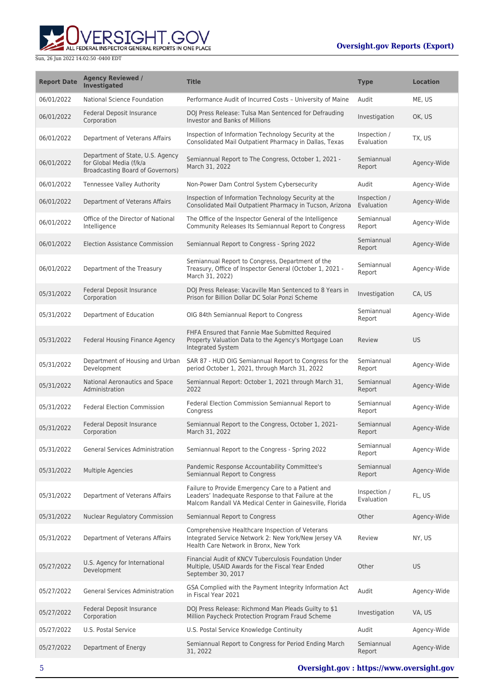ALL FEDERAL INSPECTOR GENERAL REPORTS IN ONE PLACE

| <b>Report Date</b> | <b>Agency Reviewed /</b><br><b>Investigated</b>                                                        | <b>Title</b>                                                                                                                                                          | <b>Type</b>                | <b>Location</b> |
|--------------------|--------------------------------------------------------------------------------------------------------|-----------------------------------------------------------------------------------------------------------------------------------------------------------------------|----------------------------|-----------------|
| 06/01/2022         | National Science Foundation                                                                            | Performance Audit of Incurred Costs - University of Maine                                                                                                             | Audit                      | ME, US          |
| 06/01/2022         | Federal Deposit Insurance<br>Corporation                                                               | DOJ Press Release: Tulsa Man Sentenced for Defrauding<br><b>Investor and Banks of Millions</b>                                                                        | Investigation              | OK, US          |
| 06/01/2022         | Department of Veterans Affairs                                                                         | Inspection of Information Technology Security at the<br>Consolidated Mail Outpatient Pharmacy in Dallas, Texas                                                        | Inspection /<br>Evaluation | TX, US          |
| 06/01/2022         | Department of State, U.S. Agency<br>for Global Media (f/k/a<br><b>Broadcasting Board of Governors)</b> | Semiannual Report to The Congress, October 1, 2021 -<br>March 31, 2022                                                                                                | Semiannual<br>Report       | Agency-Wide     |
| 06/01/2022         | <b>Tennessee Valley Authority</b>                                                                      | Non-Power Dam Control System Cybersecurity                                                                                                                            | Audit                      | Agency-Wide     |
| 06/01/2022         | Department of Veterans Affairs                                                                         | Inspection of Information Technology Security at the<br>Consolidated Mail Outpatient Pharmacy in Tucson, Arizona                                                      | Inspection /<br>Evaluation | Agency-Wide     |
| 06/01/2022         | Office of the Director of National<br>Intelligence                                                     | The Office of the Inspector General of the Intelligence<br>Community Releases Its Semiannual Report to Congress                                                       | Semiannual<br>Report       | Agency-Wide     |
| 06/01/2022         | Election Assistance Commission                                                                         | Semiannual Report to Congress - Spring 2022                                                                                                                           | Semiannual<br>Report       | Agency-Wide     |
| 06/01/2022         | Department of the Treasury                                                                             | Semiannual Report to Congress, Department of the<br>Treasury, Office of Inspector General (October 1, 2021 -<br>March 31, 2022)                                       | Semiannual<br>Report       | Agency-Wide     |
| 05/31/2022         | Federal Deposit Insurance<br>Corporation                                                               | DOJ Press Release: Vacaville Man Sentenced to 8 Years in<br>Prison for Billion Dollar DC Solar Ponzi Scheme                                                           | Investigation              | CA, US          |
| 05/31/2022         | Department of Education                                                                                | OIG 84th Semiannual Report to Congress                                                                                                                                | Semiannual<br>Report       | Agency-Wide     |
| 05/31/2022         | Federal Housing Finance Agency                                                                         | FHFA Ensured that Fannie Mae Submitted Required<br>Property Valuation Data to the Agency's Mortgage Loan<br>Integrated System                                         | Review                     | <b>US</b>       |
| 05/31/2022         | Department of Housing and Urban<br>Development                                                         | SAR 87 - HUD OIG Semiannual Report to Congress for the<br>period October 1, 2021, through March 31, 2022                                                              | Semiannual<br>Report       | Agency-Wide     |
| 05/31/2022         | National Aeronautics and Space<br>Administration                                                       | Semiannual Report: October 1, 2021 through March 31,<br>2022                                                                                                          | Semiannual<br>Report       | Agency-Wide     |
| 05/31/2022         | <b>Federal Election Commission</b>                                                                     | Federal Election Commission Semiannual Report to<br>Congress                                                                                                          | Semiannual<br>Report       | Agency-Wide     |
| 05/31/2022         | Federal Deposit Insurance<br>Corporation                                                               | Semiannual Report to the Congress, October 1, 2021-<br>March 31, 2022                                                                                                 | Semiannual<br>Report       | Agency-Wide     |
| 05/31/2022         | <b>General Services Administration</b>                                                                 | Semiannual Report to the Congress - Spring 2022                                                                                                                       | Semiannual<br>Report       | Agency-Wide     |
| 05/31/2022         | <b>Multiple Agencies</b>                                                                               | Pandemic Response Accountability Committee's<br>Semiannual Report to Congress                                                                                         | Semiannual<br>Report       | Agency-Wide     |
| 05/31/2022         | Department of Veterans Affairs                                                                         | Failure to Provide Emergency Care to a Patient and<br>Leaders' Inadequate Response to that Failure at the<br>Malcom Randall VA Medical Center in Gainesville, Florida | Inspection /<br>Evaluation | FL, US          |
| 05/31/2022         | Nuclear Regulatory Commission                                                                          | Semiannual Report to Congress                                                                                                                                         | Other                      | Agency-Wide     |
| 05/31/2022         | Department of Veterans Affairs                                                                         | Comprehensive Healthcare Inspection of Veterans<br>Integrated Service Network 2: New York/New Jersey VA<br>Health Care Network in Bronx, New York                     | Review                     | NY, US          |
| 05/27/2022         | U.S. Agency for International<br>Development                                                           | Financial Audit of KNCV Tuberculosis Foundation Under<br>Multiple, USAID Awards for the Fiscal Year Ended<br>September 30, 2017                                       | Other                      | <b>US</b>       |
| 05/27/2022         | <b>General Services Administration</b>                                                                 | GSA Complied with the Payment Integrity Information Act<br>in Fiscal Year 2021                                                                                        | Audit                      | Agency-Wide     |
| 05/27/2022         | Federal Deposit Insurance<br>Corporation                                                               | DOJ Press Release: Richmond Man Pleads Guilty to \$1<br>Million Paycheck Protection Program Fraud Scheme                                                              | Investigation              | VA, US          |
| 05/27/2022         | U.S. Postal Service                                                                                    | U.S. Postal Service Knowledge Continuity                                                                                                                              | Audit                      | Agency-Wide     |
| 05/27/2022         | Department of Energy                                                                                   | Semiannual Report to Congress for Period Ending March<br>31, 2022                                                                                                     | Semiannual<br>Report       | Agency-Wide     |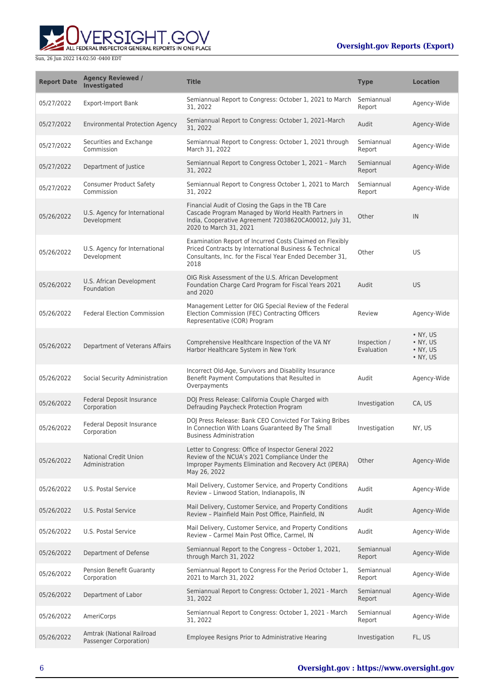

| <b>Report Date</b> | <b>Agency Reviewed /</b><br><b>Investigated</b>     | <b>Title</b>                                                                                                                                                                                  | <b>Type</b>                | <b>Location</b>                                                      |
|--------------------|-----------------------------------------------------|-----------------------------------------------------------------------------------------------------------------------------------------------------------------------------------------------|----------------------------|----------------------------------------------------------------------|
| 05/27/2022         | <b>Export-Import Bank</b>                           | Semiannual Report to Congress: October 1, 2021 to March<br>31, 2022                                                                                                                           | Semiannual<br>Report       | Agency-Wide                                                          |
| 05/27/2022         | <b>Environmental Protection Agency</b>              | Semiannual Report to Congress: October 1, 2021-March<br>31, 2022                                                                                                                              | Audit                      | Agency-Wide                                                          |
| 05/27/2022         | Securities and Exchange<br>Commission               | Semiannual Report to Congress: October 1, 2021 through<br>March 31, 2022                                                                                                                      | Semiannual<br>Report       | Agency-Wide                                                          |
| 05/27/2022         | Department of Justice                               | Semiannual Report to Congress October 1, 2021 - March<br>31, 2022                                                                                                                             | Semiannual<br>Report       | Agency-Wide                                                          |
| 05/27/2022         | <b>Consumer Product Safety</b><br>Commission        | Semiannual Report to Congress October 1, 2021 to March<br>31, 2022                                                                                                                            | Semiannual<br>Report       | Agency-Wide                                                          |
| 05/26/2022         | U.S. Agency for International<br>Development        | Financial Audit of Closing the Gaps in the TB Care<br>Cascade Program Managed by World Health Partners in<br>India, Cooperative Agreement 72038620CA00012, July 31,<br>2020 to March 31, 2021 | Other                      | IN                                                                   |
| 05/26/2022         | U.S. Agency for International<br>Development        | Examination Report of Incurred Costs Claimed on Flexibly<br>Priced Contracts by International Business & Technical<br>Consultants, Inc. for the Fiscal Year Ended December 31,<br>2018        | Other                      | US                                                                   |
| 05/26/2022         | U.S. African Development<br>Foundation              | OIG Risk Assessment of the U.S. African Development<br>Foundation Charge Card Program for Fiscal Years 2021<br>and 2020                                                                       | Audit                      | <b>US</b>                                                            |
| 05/26/2022         | <b>Federal Election Commission</b>                  | Management Letter for OIG Special Review of the Federal<br>Election Commission (FEC) Contracting Officers<br>Representative (COR) Program                                                     | Review                     | Agency-Wide                                                          |
| 05/26/2022         | Department of Veterans Affairs                      | Comprehensive Healthcare Inspection of the VA NY<br>Harbor Healthcare System in New York                                                                                                      | Inspection /<br>Evaluation | $\bullet$ NY, US<br>$\bullet$ NY, US<br>$\bullet$ NY, US<br>• NY, US |
| 05/26/2022         | Social Security Administration                      | Incorrect Old-Age, Survivors and Disability Insurance<br>Benefit Payment Computations that Resulted in<br>Overpayments                                                                        | Audit                      | Agency-Wide                                                          |
| 05/26/2022         | Federal Deposit Insurance<br>Corporation            | DOJ Press Release: California Couple Charged with<br>Defrauding Paycheck Protection Program                                                                                                   | Investigation              | CA, US                                                               |
| 05/26/2022         | Federal Deposit Insurance<br>Corporation            | DOJ Press Release: Bank CEO Convicted For Taking Bribes<br>In Connection With Loans Guaranteed By The Small<br><b>Business Administration</b>                                                 | Investigation              | NY, US                                                               |
| 05/26/2022         | <b>National Credit Union</b><br>Administration      | Letter to Congress: Office of Inspector General 2022<br>Review of the NCUA's 2021 Compliance Under the<br>Improper Payments Elimination and Recovery Act (IPERA)<br>May 26, 2022              | Other                      | Agency-Wide                                                          |
| 05/26/2022         | U.S. Postal Service                                 | Mail Delivery, Customer Service, and Property Conditions<br>Review - Linwood Station, Indianapolis, IN                                                                                        | Audit                      | Agency-Wide                                                          |
| 05/26/2022         | U.S. Postal Service                                 | Mail Delivery, Customer Service, and Property Conditions<br>Review - Plainfield Main Post Office, Plainfield, IN                                                                              | Audit                      | Agency-Wide                                                          |
| 05/26/2022         | U.S. Postal Service                                 | Mail Delivery, Customer Service, and Property Conditions<br>Review - Carmel Main Post Office, Carmel, IN                                                                                      | Audit                      | Agency-Wide                                                          |
| 05/26/2022         | Department of Defense                               | Semiannual Report to the Congress - October 1, 2021,<br>through March 31, 2022                                                                                                                | Semiannual<br>Report       | Agency-Wide                                                          |
| 05/26/2022         | Pension Benefit Guaranty<br>Corporation             | Semiannual Report to Congress For the Period October 1,<br>2021 to March 31, 2022                                                                                                             | Semiannual<br>Report       | Agency-Wide                                                          |
| 05/26/2022         | Department of Labor                                 | Semiannual Report to Congress: October 1, 2021 - March<br>31, 2022                                                                                                                            | Semiannual<br>Report       | Agency-Wide                                                          |
| 05/26/2022         | AmeriCorps                                          | Semiannual Report to Congress: October 1, 2021 - March<br>31, 2022                                                                                                                            | Semiannual<br>Report       | Agency-Wide                                                          |
| 05/26/2022         | Amtrak (National Railroad<br>Passenger Corporation) | Employee Resigns Prior to Administrative Hearing                                                                                                                                              | Investigation              | FL, US                                                               |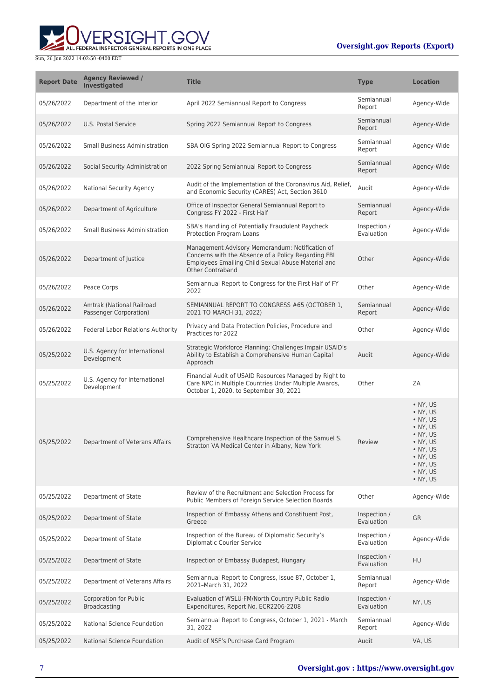# ERSIGHT.GOV ALL FEDERAL INSPECTOR GENERAL REPORTS IN ONE PLACE

### **Oversight.gov Reports (Export)**

| <b>Report Date</b> | <b>Agency Reviewed /</b><br><b>Investigated</b>     | <b>Title</b>                                                                                                                                                                     | <b>Type</b>                | <b>Location</b>                                                                                                                                                                                                |
|--------------------|-----------------------------------------------------|----------------------------------------------------------------------------------------------------------------------------------------------------------------------------------|----------------------------|----------------------------------------------------------------------------------------------------------------------------------------------------------------------------------------------------------------|
| 05/26/2022         | Department of the Interior                          | April 2022 Semiannual Report to Congress                                                                                                                                         | Semiannual<br>Report       | Agency-Wide                                                                                                                                                                                                    |
| 05/26/2022         | <b>U.S. Postal Service</b>                          | Spring 2022 Semiannual Report to Congress                                                                                                                                        | Semiannual<br>Report       | Agency-Wide                                                                                                                                                                                                    |
| 05/26/2022         | <b>Small Business Administration</b>                | SBA OIG Spring 2022 Semiannual Report to Congress                                                                                                                                | Semiannual<br>Report       | Agency-Wide                                                                                                                                                                                                    |
| 05/26/2022         | Social Security Administration                      | 2022 Spring Semiannual Report to Congress                                                                                                                                        | Semiannual<br>Report       | Agency-Wide                                                                                                                                                                                                    |
| 05/26/2022         | National Security Agency                            | Audit of the Implementation of the Coronavirus Aid, Relief,<br>and Economic Security (CARES) Act, Section 3610                                                                   | Audit                      | Agency-Wide                                                                                                                                                                                                    |
| 05/26/2022         | Department of Agriculture                           | Office of Inspector General Semiannual Report to<br>Congress FY 2022 - First Half                                                                                                | Semiannual<br>Report       | Agency-Wide                                                                                                                                                                                                    |
| 05/26/2022         | <b>Small Business Administration</b>                | SBA's Handling of Potentially Fraudulent Paycheck<br>Protection Program Loans                                                                                                    | Inspection /<br>Evaluation | Agency-Wide                                                                                                                                                                                                    |
| 05/26/2022         | Department of Justice                               | Management Advisory Memorandum: Notification of<br>Concerns with the Absence of a Policy Regarding FBI<br>Employees Emailing Child Sexual Abuse Material and<br>Other Contraband | Other                      | Agency-Wide                                                                                                                                                                                                    |
| 05/26/2022         | Peace Corps                                         | Semiannual Report to Congress for the First Half of FY<br>2022                                                                                                                   | Other                      | Agency-Wide                                                                                                                                                                                                    |
| 05/26/2022         | Amtrak (National Railroad<br>Passenger Corporation) | SEMIANNUAL REPORT TO CONGRESS #65 (OCTOBER 1,<br>2021 TO MARCH 31, 2022)                                                                                                         | Semiannual<br>Report       | Agency-Wide                                                                                                                                                                                                    |
| 05/26/2022         | <b>Federal Labor Relations Authority</b>            | Privacy and Data Protection Policies, Procedure and<br>Practices for 2022                                                                                                        | Other                      | Agency-Wide                                                                                                                                                                                                    |
| 05/25/2022         | U.S. Agency for International<br>Development        | Strategic Workforce Planning: Challenges Impair USAID's<br>Ability to Establish a Comprehensive Human Capital<br>Approach                                                        | Audit                      | Agency-Wide                                                                                                                                                                                                    |
| 05/25/2022         | U.S. Agency for International<br>Development        | Financial Audit of USAID Resources Managed by Right to<br>Care NPC in Multiple Countries Under Multiple Awards,<br>October 1, 2020, to September 30, 2021                        | Other                      | ZA                                                                                                                                                                                                             |
| 05/25/2022         | Department of Veterans Affairs                      | Comprehensive Healthcare Inspection of the Samuel S.<br>Stratton VA Medical Center in Albany, New York                                                                           | Review                     | $\cdot$ NY. US<br>• NY, US<br>$\bullet$ NY, US<br>$\bullet$ NY, US<br>$\bullet$ NY, US<br>$\bullet$ NY, US<br>$\bullet$ NY, US<br>$\bullet$ NY, US<br>$\bullet$ NY, US<br>$\bullet$ NY, US<br>$\bullet$ NY, US |
| 05/25/2022         | Department of State                                 | Review of the Recruitment and Selection Process for<br>Public Members of Foreign Service Selection Boards                                                                        | Other                      | Agency-Wide                                                                                                                                                                                                    |
| 05/25/2022         | Department of State                                 | Inspection of Embassy Athens and Constituent Post,<br>Greece                                                                                                                     | Inspection /<br>Evaluation | <b>GR</b>                                                                                                                                                                                                      |
| 05/25/2022         | Department of State                                 | Inspection of the Bureau of Diplomatic Security's<br><b>Diplomatic Courier Service</b>                                                                                           | Inspection /<br>Evaluation | Agency-Wide                                                                                                                                                                                                    |
| 05/25/2022         | Department of State                                 | Inspection of Embassy Budapest, Hungary                                                                                                                                          | Inspection /<br>Evaluation | <b>HU</b>                                                                                                                                                                                                      |
| 05/25/2022         | Department of Veterans Affairs                      | Semiannual Report to Congress, Issue 87, October 1,<br>2021-March 31, 2022                                                                                                       | Semiannual<br>Report       | Agency-Wide                                                                                                                                                                                                    |
| 05/25/2022         | <b>Corporation for Public</b><br>Broadcasting       | Evaluation of WSLU-FM/North Country Public Radio<br>Expenditures, Report No. ECR2206-2208                                                                                        | Inspection /<br>Evaluation | NY, US                                                                                                                                                                                                         |
| 05/25/2022         | National Science Foundation                         | Semiannual Report to Congress, October 1, 2021 - March<br>31, 2022                                                                                                               | Semiannual<br>Report       | Agency-Wide                                                                                                                                                                                                    |
| 05/25/2022         | National Science Foundation                         | Audit of NSF's Purchase Card Program                                                                                                                                             | Audit                      | VA, US                                                                                                                                                                                                         |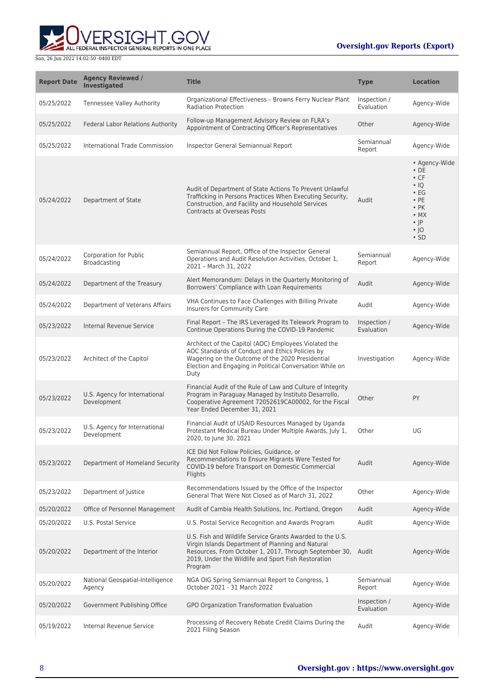

| <b>Report Date</b> | <b>Agency Reviewed /</b><br><b>Investigated</b> | <b>Title</b>                                                                                                                                                                                                                                     | <b>Type</b>                | <b>Location</b>                                                                                                                                             |
|--------------------|-------------------------------------------------|--------------------------------------------------------------------------------------------------------------------------------------------------------------------------------------------------------------------------------------------------|----------------------------|-------------------------------------------------------------------------------------------------------------------------------------------------------------|
| 05/25/2022         | <b>Tennessee Valley Authority</b>               | Organizational Effectiveness - Browns Ferry Nuclear Plant<br><b>Radiation Protection</b>                                                                                                                                                         | Inspection /<br>Evaluation | Agency-Wide                                                                                                                                                 |
| 05/25/2022         | Federal Labor Relations Authority               | Follow-up Management Advisory Review on FLRA's<br>Appointment of Contracting Officer's Representatives                                                                                                                                           | Other                      | Agency-Wide                                                                                                                                                 |
| 05/25/2022         | International Trade Commission                  | Inspector General Semiannual Report                                                                                                                                                                                                              | Semiannual<br>Report       | Agency-Wide                                                                                                                                                 |
| 05/24/2022         | Department of State                             | Audit of Department of State Actions To Prevent Unlawful<br>Trafficking in Persons Practices When Executing Security,<br>Construction, and Facility and Household Services<br><b>Contracts at Overseas Posts</b>                                 | Audit                      | • Agency-Wide<br>$\cdot$ DE<br>$\cdot$ CF<br>$\cdot$ IQ<br>$\cdot$ EG<br>$\cdot$ PE<br>$\cdot$ PK<br>$\bullet$ MX<br>$\cdot$  P<br>$\cdot$  O<br>$\cdot$ SD |
| 05/24/2022         | <b>Corporation for Public</b><br>Broadcasting   | Semiannual Report, Office of the Inspector General<br>Operations and Audit Resolution Activities, October 1,<br>2021 - March 31, 2022                                                                                                            | Semiannual<br>Report       | Agency-Wide                                                                                                                                                 |
| 05/24/2022         | Department of the Treasury                      | Alert Memorandum: Delays in the Quarterly Monitoring of<br>Borrowers' Compliance with Loan Requirements                                                                                                                                          | Audit                      | Agency-Wide                                                                                                                                                 |
| 05/24/2022         | Department of Veterans Affairs                  | VHA Continues to Face Challenges with Billing Private<br>Insurers for Community Care                                                                                                                                                             | Audit                      | Agency-Wide                                                                                                                                                 |
| 05/23/2022         | Internal Revenue Service                        | Final Report - The IRS Leveraged Its Telework Program to<br>Continue Operations During the COVID-19 Pandemic                                                                                                                                     | Inspection /<br>Evaluation | Agency-Wide                                                                                                                                                 |
| 05/23/2022         | Architect of the Capitol                        | Architect of the Capitol (AOC) Employees Violated the<br>AOC Standards of Conduct and Ethics Policies by<br>Wagering on the Outcome of the 2020 Presidential<br>Election and Engaging in Political Conversation While on<br>Duty                 | Investigation              | Agency-Wide                                                                                                                                                 |
| 05/23/2022         | U.S. Agency for International<br>Development    | Financial Audit of the Rule of Law and Culture of Integrity<br>Program in Paraguay Managed by Instituto Desarrollo,<br>Cooperative Agreement 72052619CA00002, for the Fiscal<br>Year Ended December 31, 2021                                     | Other                      | PY                                                                                                                                                          |
| 05/23/2022         | U.S. Agency for International<br>Development    | Financial Audit of USAID Resources Managed by Uganda<br>Protestant Medical Bureau Under Multiple Awards, July 1,<br>2020, to June 30, 2021                                                                                                       | Other                      | UG                                                                                                                                                          |
| 05/23/2022         | Department of Homeland Security                 | ICE Did Not Follow Policies, Guidance, or<br>Recommendations to Ensure Migrants Were Tested for<br>COVID-19 before Transport on Domestic Commercial<br>Flights                                                                                   | Audit                      | Agency-Wide                                                                                                                                                 |
| 05/23/2022         | Department of Justice                           | Recommendations Issued by the Office of the Inspector<br>General That Were Not Closed as of March 31, 2022                                                                                                                                       | Other                      | Agency-Wide                                                                                                                                                 |
| 05/20/2022         | Office of Personnel Management                  | Audit of Cambia Health Solutions, Inc. Portland, Oregon                                                                                                                                                                                          | Audit                      | Agency-Wide                                                                                                                                                 |
| 05/20/2022         | U.S. Postal Service                             | U.S. Postal Service Recognition and Awards Program                                                                                                                                                                                               | Audit                      | Agency-Wide                                                                                                                                                 |
| 05/20/2022         | Department of the Interior                      | U.S. Fish and Wildlife Service Grants Awarded to the U.S.<br>Virgin Islands Department of Planning and Natural<br>Resources, From October 1, 2017, Through September 30, Audit<br>2019, Under the Wildlife and Sport Fish Restoration<br>Program |                            | Agency-Wide                                                                                                                                                 |
| 05/20/2022         | National Geospatial-Intelligence<br>Agency      | NGA OIG Spring Semiannual Report to Congress, 1<br>October 2021 - 31 March 2022                                                                                                                                                                  | Semiannual<br>Report       | Agency-Wide                                                                                                                                                 |
| 05/20/2022         | Government Publishing Office                    | GPO Organization Transformation Evaluation                                                                                                                                                                                                       | Inspection /<br>Evaluation | Agency-Wide                                                                                                                                                 |
| 05/19/2022         | Internal Revenue Service                        | Processing of Recovery Rebate Credit Claims During the<br>2021 Filing Season                                                                                                                                                                     | Audit                      | Agency-Wide                                                                                                                                                 |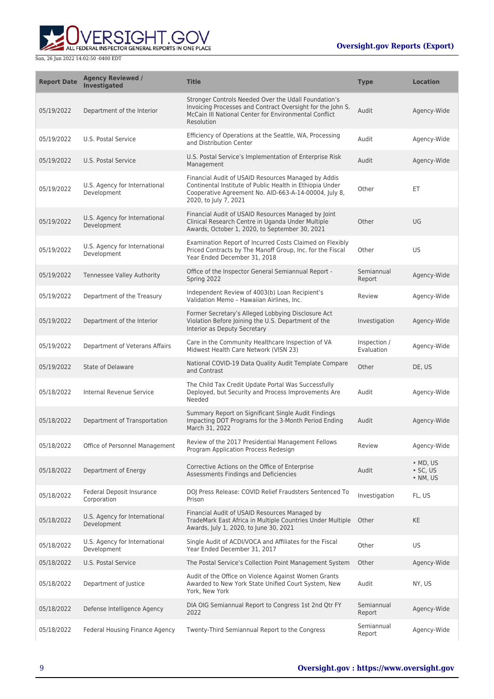

| <b>Report Date</b> | <b>Agency Reviewed /</b><br><b>Investigated</b> | <b>Title</b>                                                                                                                                                                                      | <b>Type</b>                | <b>Location</b>                                |
|--------------------|-------------------------------------------------|---------------------------------------------------------------------------------------------------------------------------------------------------------------------------------------------------|----------------------------|------------------------------------------------|
| 05/19/2022         | Department of the Interior                      | Stronger Controls Needed Over the Udall Foundation's<br>Invoicing Processes and Contract Oversight for the John S.<br>McCain III National Center for Environmental Conflict<br>Resolution         | Audit                      | Agency-Wide                                    |
| 05/19/2022         | U.S. Postal Service                             | Efficiency of Operations at the Seattle, WA, Processing<br>and Distribution Center                                                                                                                | Audit                      | Agency-Wide                                    |
| 05/19/2022         | U.S. Postal Service                             | U.S. Postal Service's Implementation of Enterprise Risk<br>Management                                                                                                                             | Audit                      | Agency-Wide                                    |
| 05/19/2022         | U.S. Agency for International<br>Development    | Financial Audit of USAID Resources Managed by Addis<br>Continental Institute of Public Health in Ethiopia Under<br>Cooperative Agreement No. AID-663-A-14-00004, July 8,<br>2020, to July 7, 2021 | Other                      | ET                                             |
| 05/19/2022         | U.S. Agency for International<br>Development    | Financial Audit of USAID Resources Managed by Joint<br>Clinical Research Centre in Uganda Under Multiple<br>Awards, October 1, 2020, to September 30, 2021                                        | Other                      | UG                                             |
| 05/19/2022         | U.S. Agency for International<br>Development    | Examination Report of Incurred Costs Claimed on Flexibly<br>Priced Contracts by The Manoff Group, Inc. for the Fiscal<br>Year Ended December 31, 2018                                             | Other                      | US                                             |
| 05/19/2022         | Tennessee Valley Authority                      | Office of the Inspector General Semiannual Report -<br>Spring 2022                                                                                                                                | Semiannual<br>Report       | Agency-Wide                                    |
| 05/19/2022         | Department of the Treasury                      | Independent Review of 4003(b) Loan Recipient's<br>Validation Memo - Hawaiian Airlines, Inc.                                                                                                       | Review                     | Agency-Wide                                    |
| 05/19/2022         | Department of the Interior                      | Former Secretary's Alleged Lobbying Disclosure Act<br>Violation Before Joining the U.S. Department of the<br>Interior as Deputy Secretary                                                         | Investigation              | Agency-Wide                                    |
| 05/19/2022         | Department of Veterans Affairs                  | Care in the Community Healthcare Inspection of VA<br>Midwest Health Care Network (VISN 23)                                                                                                        | Inspection /<br>Evaluation | Agency-Wide                                    |
| 05/19/2022         | <b>State of Delaware</b>                        | National COVID-19 Data Quality Audit Template Compare<br>and Contrast                                                                                                                             | Other                      | DE, US                                         |
| 05/18/2022         | Internal Revenue Service                        | The Child Tax Credit Update Portal Was Successfully<br>Deployed, but Security and Process Improvements Are<br>Needed                                                                              | Audit                      | Agency-Wide                                    |
| 05/18/2022         | Department of Transportation                    | Summary Report on Significant Single Audit Findings<br>Impacting DOT Programs for the 3-Month Period Ending<br>March 31, 2022                                                                     | Audit                      | Agency-Wide                                    |
| 05/18/2022         | Office of Personnel Management                  | Review of the 2017 Presidential Management Fellows<br>Program Application Process Redesign                                                                                                        | Review                     | Agency-Wide                                    |
| 05/18/2022         | Department of Energy                            | Corrective Actions on the Office of Enterprise<br>Assessments Findings and Deficiencies                                                                                                           | Audit                      | $\bullet$ MD, US<br>$\cdot$ SC, US<br>• NM, US |
| 05/18/2022         | Federal Deposit Insurance<br>Corporation        | DOJ Press Release: COVID Relief Fraudsters Sentenced To<br>Prison                                                                                                                                 | Investigation              | FL, US                                         |
| 05/18/2022         | U.S. Agency for International<br>Development    | Financial Audit of USAID Resources Managed by<br>TradeMark East Africa in Multiple Countries Under Multiple<br>Awards, July 1, 2020, to June 30, 2021                                             | Other                      | KE                                             |
| 05/18/2022         | U.S. Agency for International<br>Development    | Single Audit of ACDI/VOCA and Affiliates for the Fiscal<br>Year Ended December 31, 2017                                                                                                           | Other                      | US                                             |
| 05/18/2022         | U.S. Postal Service                             | The Postal Service's Collection Point Management System                                                                                                                                           | Other                      | Agency-Wide                                    |
| 05/18/2022         | Department of Justice                           | Audit of the Office on Violence Against Women Grants<br>Awarded to New York State Unified Court System, New<br>York, New York                                                                     | Audit                      | NY, US                                         |
| 05/18/2022         | Defense Intelligence Agency                     | DIA OIG Semiannual Report to Congress 1st 2nd Qtr FY<br>2022                                                                                                                                      | Semiannual<br>Report       | Agency-Wide                                    |
| 05/18/2022         | Federal Housing Finance Agency                  | Twenty-Third Semiannual Report to the Congress                                                                                                                                                    | Semiannual<br>Report       | Agency-Wide                                    |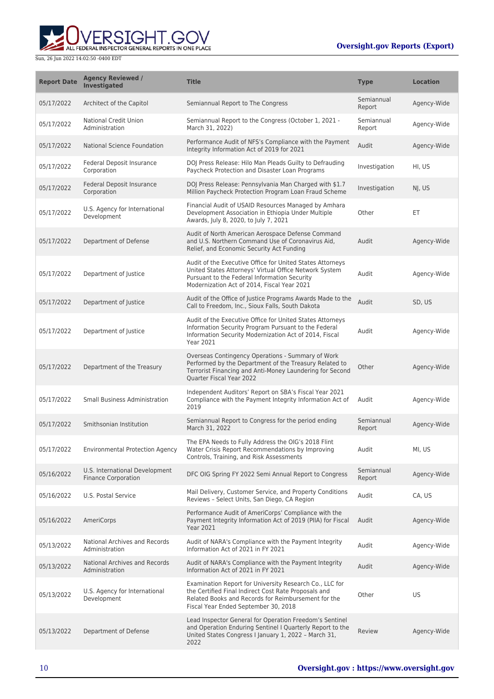

| <b>Report Date</b> | <b>Agency Reviewed /</b><br><b>Investigated</b>              | <b>Title</b>                                                                                                                                                                                                       | <b>Type</b>          | <b>Location</b> |
|--------------------|--------------------------------------------------------------|--------------------------------------------------------------------------------------------------------------------------------------------------------------------------------------------------------------------|----------------------|-----------------|
| 05/17/2022         | Architect of the Capitol                                     | Semiannual Report to The Congress                                                                                                                                                                                  | Semiannual<br>Report | Agency-Wide     |
| 05/17/2022         | <b>National Credit Union</b><br>Administration               | Semiannual Report to the Congress (October 1, 2021 -<br>March 31, 2022)                                                                                                                                            | Semiannual<br>Report | Agency-Wide     |
| 05/17/2022         | National Science Foundation                                  | Performance Audit of NFS's Compliance with the Payment<br>Integrity Information Act of 2019 for 2021                                                                                                               | Audit                | Agency-Wide     |
| 05/17/2022         | Federal Deposit Insurance<br>Corporation                     | DOJ Press Release: Hilo Man Pleads Guilty to Defrauding<br>Paycheck Protection and Disaster Loan Programs                                                                                                          | Investigation        | HI, US          |
| 05/17/2022         | Federal Deposit Insurance<br>Corporation                     | DOJ Press Release: Pennsylvania Man Charged with \$1.7<br>Million Paycheck Protection Program Loan Fraud Scheme                                                                                                    | Investigation        | NJ, US          |
| 05/17/2022         | U.S. Agency for International<br>Development                 | Financial Audit of USAID Resources Managed by Amhara<br>Development Association in Ethiopia Under Multiple<br>Awards, July 8, 2020, to July 7, 2021                                                                | Other                | ET              |
| 05/17/2022         | Department of Defense                                        | Audit of North American Aerospace Defense Command<br>and U.S. Northern Command Use of Coronavirus Aid,<br>Relief, and Economic Security Act Funding                                                                | Audit                | Agency-Wide     |
| 05/17/2022         | Department of Justice                                        | Audit of the Executive Office for United States Attorneys<br>United States Attorneys' Virtual Office Network System<br>Pursuant to the Federal Information Security<br>Modernization Act of 2014, Fiscal Year 2021 | Audit                | Agency-Wide     |
| 05/17/2022         | Department of Justice                                        | Audit of the Office of Justice Programs Awards Made to the<br>Call to Freedom, Inc., Sioux Falls, South Dakota                                                                                                     | Audit                | SD, US          |
| 05/17/2022         | Department of Justice                                        | Audit of the Executive Office for United States Attorneys<br>Information Security Program Pursuant to the Federal<br>Information Security Modernization Act of 2014, Fiscal<br>Year 2021                           | Audit                | Agency-Wide     |
| 05/17/2022         | Department of the Treasury                                   | Overseas Contingency Operations - Summary of Work<br>Performed by the Department of the Treasury Related to<br>Terrorist Financing and Anti-Money Laundering for Second<br>Quarter Fiscal Year 2022                | Other                | Agency-Wide     |
| 05/17/2022         | <b>Small Business Administration</b>                         | Independent Auditors' Report on SBA's Fiscal Year 2021<br>Compliance with the Payment Integrity Information Act of<br>2019                                                                                         | Audit                | Agency-Wide     |
| 05/17/2022         | Smithsonian Institution                                      | Semiannual Report to Congress for the period ending<br>March 31, 2022                                                                                                                                              | Semiannual<br>Report | Agency-Wide     |
| 05/17/2022         | <b>Environmental Protection Agency</b>                       | The EPA Needs to Fully Address the OIG's 2018 Flint<br>Water Crisis Report Recommendations by Improving<br>Controls, Training, and Risk Assessments                                                                | Audit                | MI, US          |
| 05/16/2022         | U.S. International Development<br><b>Finance Corporation</b> | DFC OIG Spring FY 2022 Semi Annual Report to Congress                                                                                                                                                              | Semiannual<br>Report | Agency-Wide     |
| 05/16/2022         | U.S. Postal Service                                          | Mail Delivery, Customer Service, and Property Conditions<br>Reviews - Select Units, San Diego, CA Region                                                                                                           | Audit                | CA, US          |
| 05/16/2022         | AmeriCorps                                                   | Performance Audit of AmeriCorps' Compliance with the<br>Payment Integrity Information Act of 2019 (PIIA) for Fiscal<br><b>Year 2021</b>                                                                            | Audit                | Agency-Wide     |
| 05/13/2022         | National Archives and Records<br>Administration              | Audit of NARA's Compliance with the Payment Integrity<br>Information Act of 2021 in FY 2021                                                                                                                        | Audit                | Agency-Wide     |
| 05/13/2022         | National Archives and Records<br>Administration              | Audit of NARA's Compliance with the Payment Integrity<br>Information Act of 2021 in FY 2021                                                                                                                        | Audit                | Agency-Wide     |
| 05/13/2022         | U.S. Agency for International<br>Development                 | Examination Report for University Research Co., LLC for<br>the Certified Final Indirect Cost Rate Proposals and<br>Related Books and Records for Reimbursement for the<br>Fiscal Year Ended September 30, 2018     | Other                | US              |
| 05/13/2022         | Department of Defense                                        | Lead Inspector General for Operation Freedom's Sentinel<br>and Operation Enduring Sentinel I Quarterly Report to the<br>United States Congress I January 1, 2022 - March 31,<br>2022                               | Review               | Agency-Wide     |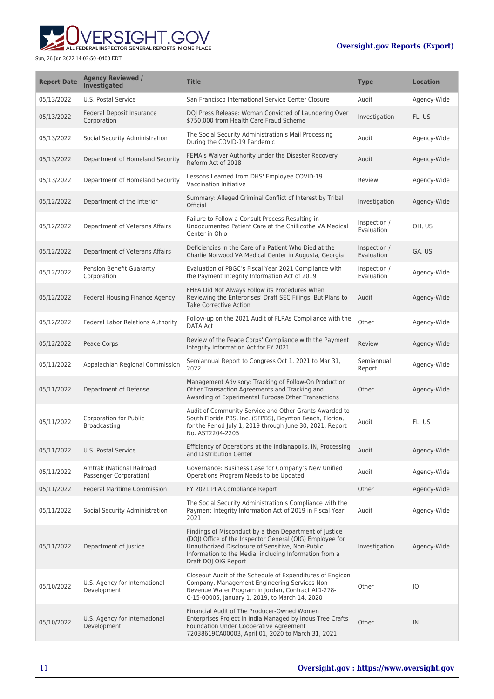ERSIGHT.GOV ALL FEDERAL INSPECTOR GENERAL REPORTS IN ONE PLACE

| <b>Report Date</b> | <b>Agency Reviewed /</b><br><b>Investigated</b>     | <b>Title</b>                                                                                                                                                                                                                                             | <b>Type</b>                | <b>Location</b> |
|--------------------|-----------------------------------------------------|----------------------------------------------------------------------------------------------------------------------------------------------------------------------------------------------------------------------------------------------------------|----------------------------|-----------------|
| 05/13/2022         | U.S. Postal Service                                 | San Francisco International Service Center Closure                                                                                                                                                                                                       | Audit                      | Agency-Wide     |
| 05/13/2022         | Federal Deposit Insurance<br>Corporation            | DOJ Press Release: Woman Convicted of Laundering Over<br>\$750,000 from Health Care Fraud Scheme                                                                                                                                                         | Investigation              | FL, US          |
| 05/13/2022         | Social Security Administration                      | The Social Security Administration's Mail Processing<br>During the COVID-19 Pandemic                                                                                                                                                                     | Audit                      | Agency-Wide     |
| 05/13/2022         | Department of Homeland Security                     | FEMA's Waiver Authority under the Disaster Recovery<br>Reform Act of 2018                                                                                                                                                                                | Audit                      | Agency-Wide     |
| 05/13/2022         | Department of Homeland Security                     | Lessons Learned from DHS' Employee COVID-19<br>Vaccination Initiative                                                                                                                                                                                    | Review                     | Agency-Wide     |
| 05/12/2022         | Department of the Interior                          | Summary: Alleged Criminal Conflict of Interest by Tribal<br>Official                                                                                                                                                                                     | Investigation              | Agency-Wide     |
| 05/12/2022         | Department of Veterans Affairs                      | Failure to Follow a Consult Process Resulting in<br>Undocumented Patient Care at the Chillicothe VA Medical<br>Center in Ohio                                                                                                                            | Inspection /<br>Evaluation | OH, US          |
| 05/12/2022         | Department of Veterans Affairs                      | Deficiencies in the Care of a Patient Who Died at the<br>Charlie Norwood VA Medical Center in Augusta, Georgia                                                                                                                                           | Inspection /<br>Evaluation | GA, US          |
| 05/12/2022         | <b>Pension Benefit Guaranty</b><br>Corporation      | Evaluation of PBGC's Fiscal Year 2021 Compliance with<br>the Payment Integrity Information Act of 2019                                                                                                                                                   | Inspection /<br>Evaluation | Agency-Wide     |
| 05/12/2022         | Federal Housing Finance Agency                      | FHFA Did Not Always Follow its Procedures When<br>Reviewing the Enterprises' Draft SEC Filings, But Plans to<br><b>Take Corrective Action</b>                                                                                                            | Audit                      | Agency-Wide     |
| 05/12/2022         | Federal Labor Relations Authority                   | Follow-up on the 2021 Audit of FLRAs Compliance with the<br>DATA Act                                                                                                                                                                                     | Other                      | Agency-Wide     |
| 05/12/2022         | Peace Corps                                         | Review of the Peace Corps' Compliance with the Payment<br>Integrity Information Act for FY 2021                                                                                                                                                          | Review                     | Agency-Wide     |
| 05/11/2022         | Appalachian Regional Commission                     | Semiannual Report to Congress Oct 1, 2021 to Mar 31,<br>2022                                                                                                                                                                                             | Semiannual<br>Report       | Agency-Wide     |
| 05/11/2022         | Department of Defense                               | Management Advisory: Tracking of Follow-On Production<br>Other Transaction Agreements and Tracking and<br>Awarding of Experimental Purpose Other Transactions                                                                                            | Other                      | Agency-Wide     |
| 05/11/2022         | Corporation for Public<br>Broadcasting              | Audit of Community Service and Other Grants Awarded to<br>South Florida PBS, Inc. (SFPBS), Boynton Beach, Florida,<br>for the Period July 1, 2019 through June 30, 2021, Report<br>No. AST2204-2205                                                      | Audit                      | FL, US          |
| 05/11/2022         | U.S. Postal Service                                 | Efficiency of Operations at the Indianapolis, IN, Processing<br>and Distribution Center                                                                                                                                                                  | Audit                      | Agency-Wide     |
| 05/11/2022         | Amtrak (National Railroad<br>Passenger Corporation) | Governance: Business Case for Company's New Unified<br>Operations Program Needs to be Updated                                                                                                                                                            | Audit                      | Agency-Wide     |
| 05/11/2022         | <b>Federal Maritime Commission</b>                  | FY 2021 PIIA Compliance Report                                                                                                                                                                                                                           | Other                      | Agency-Wide     |
| 05/11/2022         | Social Security Administration                      | The Social Security Administration's Compliance with the<br>Payment Integrity Information Act of 2019 in Fiscal Year<br>2021                                                                                                                             | Audit                      | Agency-Wide     |
| 05/11/2022         | Department of Justice                               | Findings of Misconduct by a then Department of Justice<br>(DOJ) Office of the Inspector General (OIG) Employee for<br>Unauthorized Disclosure of Sensitive, Non-Public<br>Information to the Media, including Information from a<br>Draft DOJ OIG Report | Investigation              | Agency-Wide     |
| 05/10/2022         | U.S. Agency for International<br>Development        | Closeout Audit of the Schedule of Expenditures of Engicon<br>Company, Management Engineering Services Non-<br>Revenue Water Program in Jordan, Contract AID-278-<br>C-15-00005, January 1, 2019, to March 14, 2020                                       | Other                      | O               |
| 05/10/2022         | U.S. Agency for International<br>Development        | Financial Audit of The Producer-Owned Women<br>Enterprises Project in India Managed by Indus Tree Crafts<br>Foundation Under Cooperative Agreement<br>72038619CA00003, April 01, 2020 to March 31, 2021                                                  | Other                      | IN              |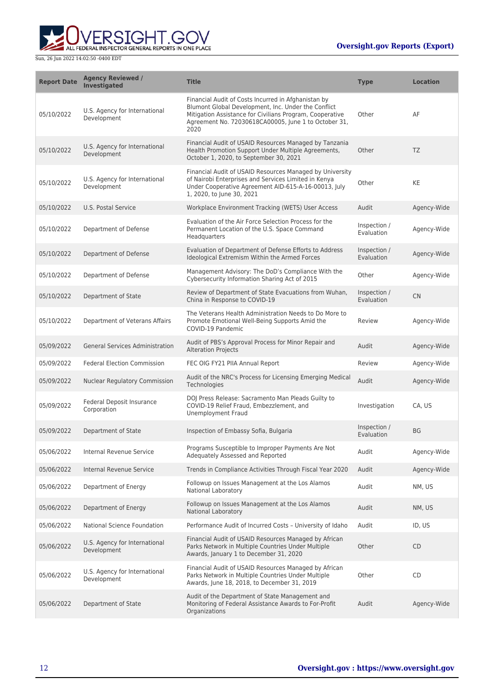

| <b>Report Date</b> | <b>Agency Reviewed /</b><br><b>Investigated</b> | <b>Title</b>                                                                                                                                                                                                                           | <b>Type</b>                | <b>Location</b> |
|--------------------|-------------------------------------------------|----------------------------------------------------------------------------------------------------------------------------------------------------------------------------------------------------------------------------------------|----------------------------|-----------------|
| 05/10/2022         | U.S. Agency for International<br>Development    | Financial Audit of Costs Incurred in Afghanistan by<br>Blumont Global Development, Inc. Under the Conflict<br>Mitigation Assistance for Civilians Program, Cooperative<br>Agreement No. 72030618CA00005, June 1 to October 31,<br>2020 | Other                      | AF              |
| 05/10/2022         | U.S. Agency for International<br>Development    | Financial Audit of USAID Resources Managed by Tanzania<br>Health Promotion Support Under Multiple Agreements,<br>October 1, 2020, to September 30, 2021                                                                                | Other                      | TZ              |
| 05/10/2022         | U.S. Agency for International<br>Development    | Financial Audit of USAID Resources Managed by University<br>of Nairobi Enterprises and Services Limited in Kenya<br>Under Cooperative Agreement AID-615-A-16-00013, July<br>1, 2020, to June 30, 2021                                  | Other                      | KE              |
| 05/10/2022         | U.S. Postal Service                             | Workplace Environment Tracking (WETS) User Access                                                                                                                                                                                      | Audit                      | Agency-Wide     |
| 05/10/2022         | Department of Defense                           | Evaluation of the Air Force Selection Process for the<br>Permanent Location of the U.S. Space Command<br>Headquarters                                                                                                                  | Inspection /<br>Evaluation | Agency-Wide     |
| 05/10/2022         | Department of Defense                           | Evaluation of Department of Defense Efforts to Address<br>Ideological Extremism Within the Armed Forces                                                                                                                                | Inspection /<br>Evaluation | Agency-Wide     |
| 05/10/2022         | Department of Defense                           | Management Advisory: The DoD's Compliance With the<br>Cybersecurity Information Sharing Act of 2015                                                                                                                                    | Other                      | Agency-Wide     |
| 05/10/2022         | Department of State                             | Review of Department of State Evacuations from Wuhan,<br>China in Response to COVID-19                                                                                                                                                 | Inspection /<br>Evaluation | <b>CN</b>       |
| 05/10/2022         | Department of Veterans Affairs                  | The Veterans Health Administration Needs to Do More to<br>Promote Emotional Well-Being Supports Amid the<br>COVID-19 Pandemic                                                                                                          | Review                     | Agency-Wide     |
| 05/09/2022         | <b>General Services Administration</b>          | Audit of PBS's Approval Process for Minor Repair and<br><b>Alteration Projects</b>                                                                                                                                                     | Audit                      | Agency-Wide     |
| 05/09/2022         | <b>Federal Election Commission</b>              | FEC OIG FY21 PIIA Annual Report                                                                                                                                                                                                        | Review                     | Agency-Wide     |
| 05/09/2022         | <b>Nuclear Regulatory Commission</b>            | Audit of the NRC's Process for Licensing Emerging Medical<br>Technologies                                                                                                                                                              | Audit                      | Agency-Wide     |
| 05/09/2022         | Federal Deposit Insurance<br>Corporation        | DOJ Press Release: Sacramento Man Pleads Guilty to<br>COVID-19 Relief Fraud, Embezzlement, and<br><b>Unemployment Fraud</b>                                                                                                            | Investigation              | CA, US          |
| 05/09/2022         | Department of State                             | Inspection of Embassy Sofia, Bulgaria                                                                                                                                                                                                  | Inspection /<br>Evaluation | BG              |
| 05/06/2022         | Internal Revenue Service                        | Programs Susceptible to Improper Payments Are Not<br>Adequately Assessed and Reported                                                                                                                                                  | Audit                      | Agency-Wide     |
| 05/06/2022         | Internal Revenue Service                        | Trends in Compliance Activities Through Fiscal Year 2020                                                                                                                                                                               | Audit                      | Agency-Wide     |
| 05/06/2022         | Department of Energy                            | Followup on Issues Management at the Los Alamos<br><b>National Laboratory</b>                                                                                                                                                          | Audit                      | NM, US          |
| 05/06/2022         | Department of Energy                            | Followup on Issues Management at the Los Alamos<br>National Laboratory                                                                                                                                                                 | Audit                      | NM, US          |
| 05/06/2022         | National Science Foundation                     | Performance Audit of Incurred Costs - University of Idaho                                                                                                                                                                              | Audit                      | ID, US          |
| 05/06/2022         | U.S. Agency for International<br>Development    | Financial Audit of USAID Resources Managed by African<br>Parks Network in Multiple Countries Under Multiple<br>Awards, January 1 to December 31, 2020                                                                                  | Other                      | CD              |
| 05/06/2022         | U.S. Agency for International<br>Development    | Financial Audit of USAID Resources Managed by African<br>Parks Network in Multiple Countries Under Multiple<br>Awards, June 18, 2018, to December 31, 2019                                                                             | Other                      | CD              |
| 05/06/2022         | Department of State                             | Audit of the Department of State Management and<br>Monitoring of Federal Assistance Awards to For-Profit<br>Organizations                                                                                                              | Audit                      | Agency-Wide     |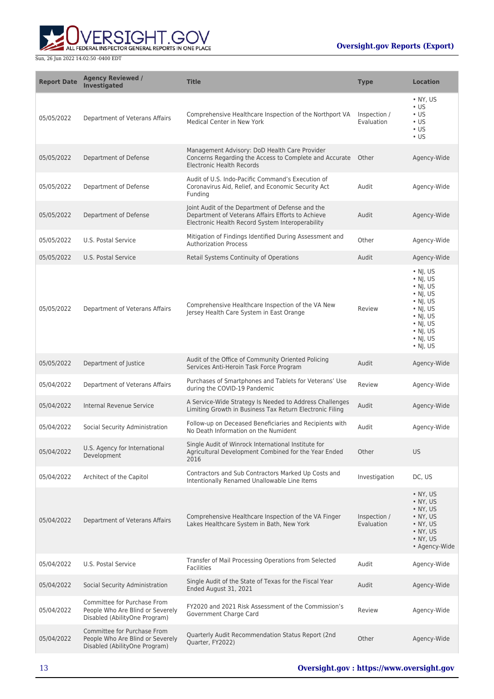



| <b>Report Date</b> | <b>Agency Reviewed /</b><br>Investigated                                                         | <b>Title</b>                                                                                                                                              | <b>Type</b>                | <b>Location</b>                                                                                                                                                                                      |
|--------------------|--------------------------------------------------------------------------------------------------|-----------------------------------------------------------------------------------------------------------------------------------------------------------|----------------------------|------------------------------------------------------------------------------------------------------------------------------------------------------------------------------------------------------|
| 05/05/2022         | Department of Veterans Affairs                                                                   | Comprehensive Healthcare Inspection of the Northport VA<br>Medical Center in New York                                                                     | Inspection /<br>Evaluation | $\bullet$ NY, US<br>$\cdot$ US<br>$\cdot$ US<br>$\cdot$ US<br>$\cdot$ US<br>$\cdot$ US                                                                                                               |
| 05/05/2022         | Department of Defense                                                                            | Management Advisory: DoD Health Care Provider<br>Concerns Regarding the Access to Complete and Accurate Other<br><b>Electronic Health Records</b>         |                            | Agency-Wide                                                                                                                                                                                          |
| 05/05/2022         | Department of Defense                                                                            | Audit of U.S. Indo-Pacific Command's Execution of<br>Coronavirus Aid, Relief, and Economic Security Act<br>Funding                                        | Audit                      | Agency-Wide                                                                                                                                                                                          |
| 05/05/2022         | Department of Defense                                                                            | Joint Audit of the Department of Defense and the<br>Department of Veterans Affairs Efforts to Achieve<br>Electronic Health Record System Interoperability | Audit                      | Agency-Wide                                                                                                                                                                                          |
| 05/05/2022         | U.S. Postal Service                                                                              | Mitigation of Findings Identified During Assessment and<br><b>Authorization Process</b>                                                                   | Other                      | Agency-Wide                                                                                                                                                                                          |
| 05/05/2022         | U.S. Postal Service                                                                              | Retail Systems Continuity of Operations                                                                                                                   | Audit                      | Agency-Wide                                                                                                                                                                                          |
| 05/05/2022         | Department of Veterans Affairs                                                                   | Comprehensive Healthcare Inspection of the VA New<br>Jersey Health Care System in East Orange                                                             | Review                     | $\cdot$ NJ, US<br>$\cdot$ NJ, US<br>$\cdot$ NJ, US<br>$\cdot$ NJ, US<br>$\cdot$ NJ, US<br>$\cdot$ NJ, US<br>$\cdot$ NJ, US<br>$\cdot$ NJ, US<br>$\cdot$ NJ, US<br>$\cdot$ NJ, US<br>$\bullet$ NJ, US |
| 05/05/2022         | Department of Justice                                                                            | Audit of the Office of Community Oriented Policing<br>Services Anti-Heroin Task Force Program                                                             | Audit                      | Agency-Wide                                                                                                                                                                                          |
| 05/04/2022         | Department of Veterans Affairs                                                                   | Purchases of Smartphones and Tablets for Veterans' Use<br>during the COVID-19 Pandemic                                                                    | Review                     | Agency-Wide                                                                                                                                                                                          |
| 05/04/2022         | Internal Revenue Service                                                                         | A Service-Wide Strategy Is Needed to Address Challenges<br>Limiting Growth in Business Tax Return Electronic Filing                                       | Audit                      | Agency-Wide                                                                                                                                                                                          |
| 05/04/2022         | Social Security Administration                                                                   | Follow-up on Deceased Beneficiaries and Recipients with<br>No Death Information on the Numident                                                           | Audit                      | Agency-Wide                                                                                                                                                                                          |
| 05/04/2022         | U.S. Agency for International<br>Development                                                     | Single Audit of Winrock International Institute for<br>Agricultural Development Combined for the Year Ended<br>2016                                       | Other                      | <b>US</b>                                                                                                                                                                                            |
| 05/04/2022         | Architect of the Capitol                                                                         | Contractors and Sub Contractors Marked Up Costs and<br>Intentionally Renamed Unallowable Line Items                                                       | Investigation              | DC, US                                                                                                                                                                                               |
| 05/04/2022         | Department of Veterans Affairs                                                                   | Comprehensive Healthcare Inspection of the VA Finger<br>Lakes Healthcare System in Bath, New York                                                         | Inspection /<br>Evaluation | • NY, US<br>$\bullet$ NY, US<br>$\bullet$ NY, US<br>$\bullet$ NY, US<br>$\bullet$ NY, US<br>$\bullet$ NY, US<br>• NY, US<br>• Agency-Wide                                                            |
| 05/04/2022         | U.S. Postal Service                                                                              | Transfer of Mail Processing Operations from Selected<br><b>Facilities</b>                                                                                 | Audit                      | Agency-Wide                                                                                                                                                                                          |
| 05/04/2022         | Social Security Administration                                                                   | Single Audit of the State of Texas for the Fiscal Year<br>Ended August 31, 2021                                                                           | Audit                      | Agency-Wide                                                                                                                                                                                          |
| 05/04/2022         | Committee for Purchase From<br>People Who Are Blind or Severely<br>Disabled (AbilityOne Program) | FY2020 and 2021 Risk Assessment of the Commission's<br>Government Charge Card                                                                             | Review                     | Agency-Wide                                                                                                                                                                                          |
| 05/04/2022         | Committee for Purchase From<br>People Who Are Blind or Severely<br>Disabled (AbilityOne Program) | Quarterly Audit Recommendation Status Report (2nd<br>Quarter, FY2022)                                                                                     | Other                      | Agency-Wide                                                                                                                                                                                          |